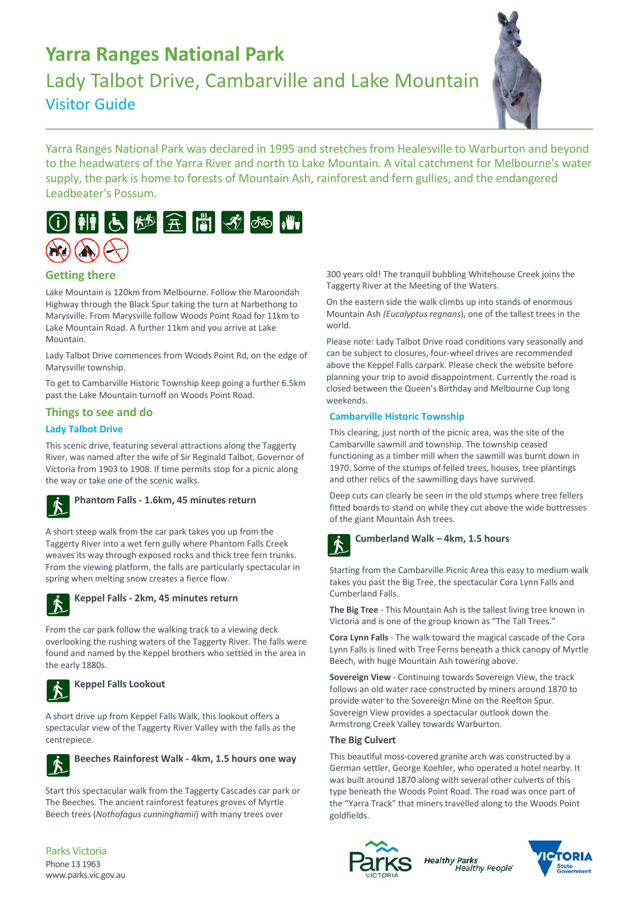# **Yarra Ranges National Park**

Lady Talbot Drive, Cambarville and Lake Mountain Visitor Guide



Yarra Ranges National Park was declared in 1995 and stretches from Healesville to Warburton and beyond to the headwaters of the Yarra River and north to Lake Mountain. A vital catchment for Melbourne's water supply, the park is home to forests of Mountain Ash, rainforest and fern gullies, and the endangered Leadbeater's Possum.



## **Getting there**

Lake Mountain is 120km from Melbourne. Follow the Maroondah Highway through the Black Spur taking the turn at Narbethong to Marysville. From Marysville follow Woods Point Road for 11km to Lake Mountain Road. A further 11km and you arrive at Lake Mountain.

Lady Talbot Drive commences from Woods Point Rd, on the edge of Marysville township.

To get to Cambarville Historic Township keep going a further 6.5km past the Lake Mountain turnoff on Woods Point Road.

## **Things to see and do**

## **Lady Talbot Drive**

This scenic drive, featuring several attractions along the Taggerty River, was named after the wife of Sir Reginald Talbot, Governor of Victoria from 1903 to 1908. If time permits stop for a picnic along the way or take one of the scenic walks.



## **Phantom Falls ‐ 1.6km, 45 minutes return**

A short steep walk from the car park takes you up from the Taggerty River into a wet fern gully where Phantom Falls Creek weaves its way through exposed rocks and thick tree fern trunks. From the viewing platform, the falls are particularly spectacular in spring when melting snow creates a fierce flow.



## **Keppel Falls ‐ 2km, 45 minutes return**

From the car park follow the walking track to a viewing deck overlooking the rushing waters of the Taggerty River. The falls were found and named by the Keppel brothers who settled in the area in the early 1880s.



## **Keppel Falls Lookout**

A short drive up from Keppel Falls Walk, this lookout offers a spectacular view of the Taggerty River Valley with the falls as the centrepiece.



Start this spectacular walk from the Taggerty Cascades car park or The Beeches. The ancient rainforest features groves of Myrtle Beech trees (*Nothofagus cunninghamii*) with many trees over



300 years old! The tranquil bubbling Whitehouse Creek joins the Taggerty River at the Meeting of the Waters.

On the eastern side the walk climbs up into stands of enormous Mountain Ash *(Eucalyptus regnans*), one of the tallest trees in the world.

Please note: Lady Talbot Drive road conditions vary seasonally and can be subject to closures, four‐wheel drives are recommended above the Keppel Falls carpark. Please check the website before planning your trip to avoid disappointment. Currently the road is closed between the Queen's Birthday and Melbourne Cup long weekends.

## **Cambarville Historic Township**

This clearing, just north of the picnic area, was the site of the Cambarville sawmill and township. The township ceased functioning as a timber mill when the sawmill was burnt down in 1970. Some of the stumps of felled trees, houses, tree plantings and other relics of the sawmilling days have survived.

Deep cuts can clearly be seen in the old stumps where tree fellers fitted boards to stand on while they cut above the wide buttresses of the giant Mountain Ash trees.



## **Cumberland Walk – 4km, 1.5 hours**

Starting from the Cambarville Picnic Area this easy to medium walk takes you past the Big Tree, the spectacular Cora Lynn Falls and Cumberland Falls.

**The Big Tree** ‐ This Mountain Ash is the tallest living tree known in Victoria and is one of the group known as "The Tall Trees."

**Cora Lynn Falls** ‐ The walk toward the magical cascade of the Cora Lynn Falls is lined with Tree Ferns beneath a thick canopy of Myrtle Beech, with huge Mountain Ash towering above.

**Sovereign View** ‐ Continuing towards Sovereign View, the track follows an old water race constructed by miners around 1870 to provide water to the Sovereign Mine on the Reefton Spur. Sovereign View provides a spectacular outlook down the Armstrong Creek Valley towards Warburton.

#### **The Big Culvert**

This beautiful moss‐covered granite arch was constructed by a German settler, George Koehler, who operated a hotel nearby. It was built around 1870 along with several other culverts of this type beneath the Woods Point Road. The road was once part of the "Yarra Track" that miners travelled along to the Woods Point goldfields.



**Healthy Parks Healthy People** 

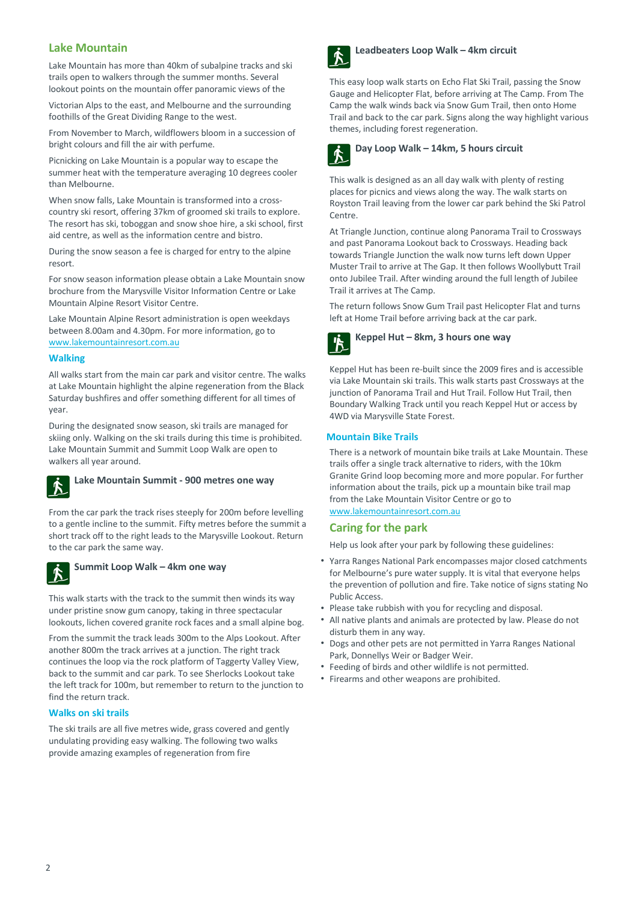## **Lake Mountain**

Lake Mountain has more than 40km of subalpine tracks and ski trails open to walkers through the summer months. Several lookout points on the mountain offer panoramic views of the

Victorian Alps to the east, and Melbourne and the surrounding foothills of the Great Dividing Range to the west.

From November to March, wildflowers bloom in a succession of bright colours and fill the air with perfume.

Picnicking on Lake Mountain is a popular way to escape the summer heat with the temperature averaging 10 degrees cooler than Melbourne.

When snow falls, Lake Mountain is transformed into a crosscountry ski resort, offering 37km of groomed ski trails to explore. The resort has ski, toboggan and snow shoe hire, a ski school, first aid centre, as well as the information centre and bistro.

During the snow season a fee is charged for entry to the alpine resort.

For snow season information please obtain a Lake Mountain snow brochure from the Marysville Visitor Information Centre or Lake Mountain Alpine Resort Visitor Centre.

Lake Mountain Alpine Resort administration is open weekdays between 8.00am and 4.30pm. For more information, go to www.lakemountainresort.com.au

## **Walking**

All walks start from the main car park and visitor centre. The walks at Lake Mountain highlight the alpine regeneration from the Black Saturday bushfires and offer something different for all times of year.

During the designated snow season, ski trails are managed for skiing only. Walking on the ski trails during this time is prohibited. Lake Mountain Summit and Summit Loop Walk are open to walkers all year around.



## **Lake Mountain Summit ‐ 900 metres one way**

From the car park the track rises steeply for 200m before levelling to a gentle incline to the summit. Fifty metres before the summit a short track off to the right leads to the Marysville Lookout. Return to the car park the same way.



## **Summit Loop Walk – 4km one way**

This walk starts with the track to the summit then winds its way under pristine snow gum canopy, taking in three spectacular lookouts, lichen covered granite rock faces and a small alpine bog.

From the summit the track leads 300m to the Alps Lookout. After another 800m the track arrives at a junction. The right track continues the loop via the rock platform of Taggerty Valley View, back to the summit and car park. To see Sherlocks Lookout take the left track for 100m, but remember to return to the junction to find the return track.

## **Walks on ski trails**

The ski trails are all five metres wide, grass covered and gently undulating providing easy walking. The following two walks provide amazing examples of regeneration from fire



#### **Leadbeaters Loop Walk – 4km circuit**

This easy loop walk starts on Echo Flat Ski Trail, passing the Snow Gauge and Helicopter Flat, before arriving at The Camp. From The Camp the walk winds back via Snow Gum Trail, then onto Home Trail and back to the car park. Signs along the way highlight various themes, including forest regeneration.



This walk is designed as an all day walk with plenty of resting places for picnics and views along the way. The walk starts on Royston Trail leaving from the lower car park behind the Ski Patrol Centre.

At Triangle Junction, continue along Panorama Trail to Crossways and past Panorama Lookout back to Crossways. Heading back towards Triangle Junction the walk now turns left down Upper Muster Trail to arrive at The Gap. It then follows Woollybutt Trail onto Jubilee Trail. After winding around the full length of Jubilee Trail it arrives at The Camp.

The return follows Snow Gum Trail past Helicopter Flat and turns left at Home Trail before arriving back at the car park.



**Keppel Hut – 8km, 3 hours one way**

Keppel Hut has been re‐built since the 2009 fires and is accessible via Lake Mountain ski trails. This walk starts past Crossways at the junction of Panorama Trail and Hut Trail. Follow Hut Trail, then Boundary Walking Track until you reach Keppel Hut or access by 4WD via Marysville State Forest.

#### **Mountain Bike Trails**

There is a network of mountain bike trails at Lake Mountain. These trails offer a single track alternative to riders, with the 10km Granite Grind loop becoming more and more popular. For further information about the trails, pick up a mountain bike trail map from the Lake Mountain Visitor Centre or go to www.lakemountainresort.com.au

## **Caring for the park**

Help us look after your park by following these guidelines:

- Yarra Ranges National Park encompasses major closed catchments for Melbourne's pure water supply. It is vital that everyone helps the prevention of pollution and fire. Take notice of signs stating No Public Access.
- Please take rubbish with you for recycling and disposal.
- All native plants and animals are protected by law. Please do not disturb them in any way.
- Dogs and other pets are not permitted in Yarra Ranges National Park, Donnellys Weir or Badger Weir.
- Feeding of birds and other wildlife is not permitted.
- Firearms and other weapons are prohibited.